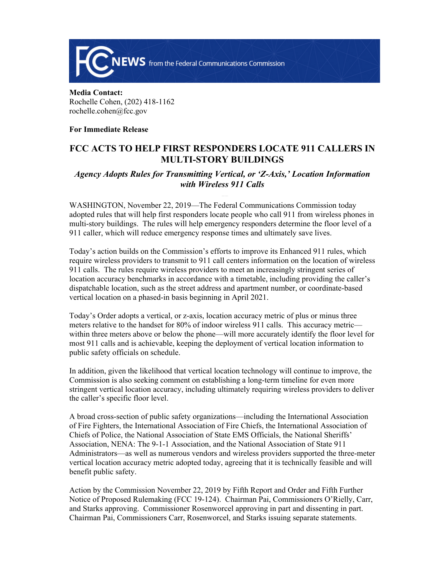

**Media Contact:**  Rochelle Cohen, (202) 418-1162 rochelle.cohen@fcc.gov

### **For Immediate Release**

# **FCC ACTS TO HELP FIRST RESPONDERS LOCATE 911 CALLERS IN MULTI-STORY BUILDINGS**

## *Agency Adopts Rules for Transmitting Vertical, or 'Z-Axis,' Location Information with Wireless 911 Calls*

WASHINGTON, November 22, 2019—The Federal Communications Commission today adopted rules that will help first responders locate people who call 911 from wireless phones in multi-story buildings. The rules will help emergency responders determine the floor level of a 911 caller, which will reduce emergency response times and ultimately save lives.

Today's action builds on the Commission's efforts to improve its Enhanced 911 rules, which require wireless providers to transmit to 911 call centers information on the location of wireless 911 calls. The rules require wireless providers to meet an increasingly stringent series of location accuracy benchmarks in accordance with a timetable, including providing the caller's dispatchable location, such as the street address and apartment number, or coordinate-based vertical location on a phased-in basis beginning in April 2021.

Today's Order adopts a vertical, or z-axis, location accuracy metric of plus or minus three meters relative to the handset for 80% of indoor wireless 911 calls. This accuracy metric within three meters above or below the phone—will more accurately identify the floor level for most 911 calls and is achievable, keeping the deployment of vertical location information to public safety officials on schedule.

In addition, given the likelihood that vertical location technology will continue to improve, the Commission is also seeking comment on establishing a long-term timeline for even more stringent vertical location accuracy, including ultimately requiring wireless providers to deliver the caller's specific floor level.

A broad cross-section of public safety organizations—including the International Association of Fire Fighters, the International Association of Fire Chiefs, the International Association of Chiefs of Police, the National Association of State EMS Officials, the National Sheriffs' Association, NENA: The 9-1-1 Association, and the National Association of State 911 Administrators—as well as numerous vendors and wireless providers supported the three-meter vertical location accuracy metric adopted today, agreeing that it is technically feasible and will benefit public safety.

Action by the Commission November 22, 2019 by Fifth Report and Order and Fifth Further Notice of Proposed Rulemaking (FCC 19-124). Chairman Pai, Commissioners O'Rielly, Carr, and Starks approving. Commissioner Rosenworcel approving in part and dissenting in part. Chairman Pai, Commissioners Carr, Rosenworcel, and Starks issuing separate statements.